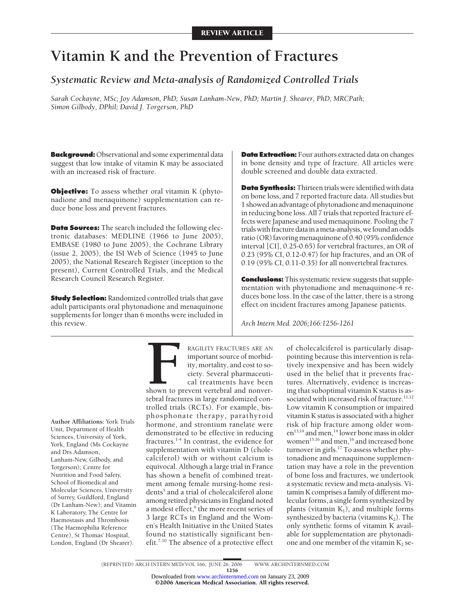# **Vitamin K and the Prevention of Fractures**

# *Systematic Review and Meta-analysis of Randomized Controlled Trials*

*Sarah Cockayne, MSc; Joy Adamson, PhD; Susan Lanham-New, PhD; Martin J. Shearer, PhD, MRCPath; Simon Gilbody, DPhil; David J. Torgerson, PhD*

**Background:** Observational and some experimental data suggest that low intake of vitamin K may be associated with an increased risk of fracture.

**Objective:** To assess whether oral vitamin K (phytonadione and menaquinone) supplementation can reduce bone loss and prevent fractures.

**Data Sources:** The search included the following electronic databases: MEDLINE (1966 to June 2005), EMBASE (1980 to June 2005), the Cochrane Library (issue 2, 2005), the ISI Web of Science (1945 to June 2005), the National Research Register (inception to the present), Current Controlled Trials, and the Medical Research Council Research Register.

**Study Selection:** Randomized controlled trials that gave adult participants oral phytonadione and menaquinone supplements for longer than 6 months were included in this review.

**Data Extraction:** Four authors extracted data on changes in bone density and type of fracture. All articles were double screened and double data extracted.

**Data Synthesis:** Thirteen trials were identified with data on bone loss, and 7 reported fracture data. All studies but 1 showed an advantage of phytonadione and menaquinone in reducing bone loss. All 7 trials that reported fracture effects were Japanese and used menaquinone. Pooling the 7 trials with fracture data in a meta-analysis, we found an odds ratio (OR) favoring menaquinone of 0.40 (95% confidence interval [CI], 0.25-0.65) for vertebral fractures, an OR of 0.23 (95% CI, 0.12-0.47) for hip fractures, and an OR of 0.19 (95% CI, 0.11-0.35) for all nonvertebral fractures.

**Conclusions:** This systematic review suggests that supplementation with phytonadione and menaquinone-4 reduces bone loss. In the case of the latter, there is a strong effect on incident fractures among Japanese patients.

*Arch Intern Med. 2006;166:1256-1261*

**Author Affiliations:** York Trials Unit, Department of Health Sciences, University of York, York, England (Ms Cockayne and Drs Adamson, Lanham-New, Gilbody, and Torgerson); Centre for Nutrition and Food Safety, School of Biomedical and Molecular Sciences, University of Surrey, Guildford, England (Dr Lanham-New); and Vitamin K Laboratory, The Centre for Haemostasis and Thrombosis (The Haemophilia Reference Centre), St Thomas' Hospital, London, England (Dr Shearer).

**FRACTURES ARE AN**<br> **FRACTURES ARE AN**<br> **EXECUTE IDENTIFY:**<br> **FRACTURES ARE AN**<br> **EXECUTE IDENTIFY:**<br> **FRACTURES AND CONSIDERATION**<br> **FRACTURES**<br> **FRACTURES**<br> **FRACTURES**<br> **FRACTURES**<br> **FRACTURES**<br> **FRACTURES**<br> **FRACTURES** important source of morbidity, mortality, and cost to society. Several pharmaceutical treatments have been

shown to prevent vertebral and nonvertebral fractures in large randomized controlled trials (RCTs). For example, bisphosphonate therapy, parathyroid hormone, and strontium ranelate were demonstrated to be effective in reducing fractures.1-4 In contrast, the evidence for supplementation with vitamin D (cholecalciferol) with or without calcium is equivocal. Although a large trial in France has shown a benefit of combined treatment among female nursing-home residents<sup>5</sup> and a trial of cholecalciferol alone among retired physicians in England noted a modest effect,<sup>6</sup> the more recent series of 3 large RCTs in England and the Women's Health Initiative in the United States found no statistically significant benefit.7-10 The absence of a protective effect

of cholecalciferol is particularly disappointing because this intervention is relatively inexpensive and has been widely used in the belief that it prevents fractures. Alternatively, evidence is increasing that suboptimal vitamin K status is associated with increased risk of fracture.<sup>11,12</sup> Low vitamin K consumption or impaired vitamin K status is associated with a higher risk of hip fracture among older women<sup>13,14</sup> and men,<sup>14</sup> lower bone mass in older women<sup>15,16</sup> and men,<sup>16</sup> and increased bone turnover in girls.<sup>17</sup> To assess whether phytonadione and menaquinone supplementation may have a role in the prevention of bone loss and fractures, we undertook a systematic review and meta-analysis. Vitamin K comprises a family of different molecular forms, a single form synthesized by plants (vitamin  $K_1$ ), and multiple forms synthesized by bacteria (vitamins  $K_2$ ). The only synthetic forms of vitamin K available for supplementation are phytonadione and one member of the vitamin  $K_2$  se-

(REPRINTED) ARCH INTERN MED/ VOL 166, JUNE 26, 2006 WWW.ARCHINTERNMED.COM 1256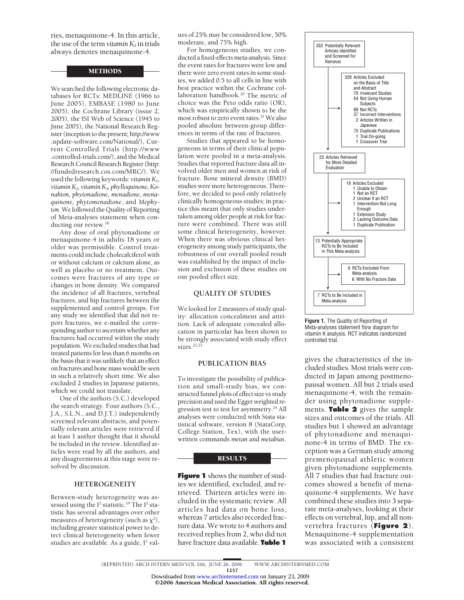ries, menaquinone-4. In this article, the use of the term *vitamin*  $K_2$  in trials always denotes menaquinone-4.

#### METHODS

We searched the following electronic databases for RCTs: MEDLINE (1966 to June 2005), EMBASE (1980 to June 2005), the Cochrane Library (issue 2, 2005), the ISI Web of Science (1945 to June 2005), the National Research Register (inception to the present; http://www .update-software.com/National/), Current Controlled Trials (http://www .controlled-trials.com/), and the Medical Research Council Research Register (http: //fundedresearch.cos.com/MRC/). We used the following keywords: *vitamin K1, vitamin K2, vitamin K3, phylloquinone, Konakion, phytonadione, menadione, menaquinone, phytomenadione*, and *Mephyton*.Wefollowed the Quality of Reporting of Meta-analyses statement when conducting our review.<sup>18</sup>

Any dose of oral phytonadione or menaquinone-4 in adults 18 years or older was permissible. Control treatments could include cholecalciferol with or without calcium or calcium alone, as well as placebo or no treatment. Outcomes were fractures of any type or changes in bone density. We compared the incidence of all fractures, vertebral fractures, and hip fractures between the supplemented and control groups. For any study we identified that did not report fractures, we e-mailed the corresponding author to ascertain whether any fractures had occurred within the study population.We excluded studies that had treated patients for less than 6 months on the basis that it was unlikely that an effect onfractures and bone mass would be seen in such a relatively short time. We also excluded 2 studies in Japanese patients, which we could not translate.

One of the authors (S.C.) developed the search strategy. Four authors (S.C., J.A., S.L.N., and D.J.T.) independently screened relevant abstracts, and potentially relevant articles were retrieved if at least 1 author thought that it should be included in the review. Identified articles were read by all the authors, and any disagreements at this stage were resolved by discussion.

#### **HETEROGENEITY**

Between-study heterogeneity was assessed using the  $I^2$  statistic.<sup>19</sup> The  $I^2$  statistic has several advantages over other measures of heterogeneity (such as  $\chi^2$ ), including greater statistical power to detect clinical heterogeneity when fewer studies are available. As a guide, I<sup>2</sup> values of 25% may be considered low, 50% moderate, and 75% high.

For homogeneous studies, we conducted afixed-effects meta-analysis. Since the event rates for fractures were low and there were zero event rates in some studies, we added 0.5 to all cells in line with best practice within the Cochrane collaboration handbook.<sup>20</sup> The metric of choice was the Peto odds ratio (OR), which was empirically shown to be the most robust to zero event rates.<sup>21</sup> We also pooled absolute between-group differences in terms of the rate of fractures.

Studies that appeared to be homogeneous in terms of their clinical population were pooled in a meta-analysis. Studies that reported fracture data all involved older men and women at risk of fracture. Bone mineral density (BMD) studies were more heterogeneous. Therefore, we decided to pool only relatively clinically homogeneous studies; in practice this meant that only studies undertaken among older people at risk for fracture were combined. There was still some clinical heterogeneity, however. When there was obvious clinical heterogeneity among study participants, the robustness of our overall pooled result was established by the impact of inclusion and exclusion of these studies on our pooled effect size.

#### **QUALITY OF STUDIES**

We looked for 2 measures of study quality: allocation concealment and attrition. Lack of adequate concealed allocation in particular has been shown to be strongly associated with study effect sizes. $22,23$ 

#### **PUBLICATION BIAS**

To investigate the possibility of publication and small-study bias, we constructed funnel plots of effect size vs study precision and used the Egger weighted regression test to test for asymmetry.<sup>24</sup> All analyses were conducted with Stata statistical software, version 8 (StataCorp, College Station, Tex), with the userwritten commands *metan* and *metabias*.

#### **RESULTS**

**Figure 1** shows the number of studies we identified, excluded, and retrieved. Thirteen articles were included in the systematic review. All articles had data on bone loss, whereas 7 articles also recorded fracture data. We wrote to 4 authors and received replies from 2, who did not have fracture data available. **Table 1**



**Figure 1.** The Quality of Reporting of Meta-analyses statement flow diagram for vitamin K analysis. RCT indicates randomized controlled trial.

gives the characteristics of the included studies. Most trials were conducted in Japan among postmenopausal women. All but 2 trials used menaquinone-4, with the remainder using phytonadione supplements. **Table 2** gives the sample sizes and outcomes of the trials. All studies but 1 showed an advantage of phytonadione and menaquinone-4 in terms of BMD. The exception was a German study among premenopausal athletic women given phytonadione supplements. All 7 studies that had fracture outcomes showed a benefit of menaquinone-4 supplements. We have combined these studies into 3 separate meta-analyses, looking at their effects on vertebral, hip, and all nonvertebra fractures (**Figure 2**). Menaquinone-4 supplementation was associated with a consistent

©2006 American Medical Association. All rights reserved. Downloaded from [www.archinternmed.com](http://www.archinternmed.com) on January 23, 2009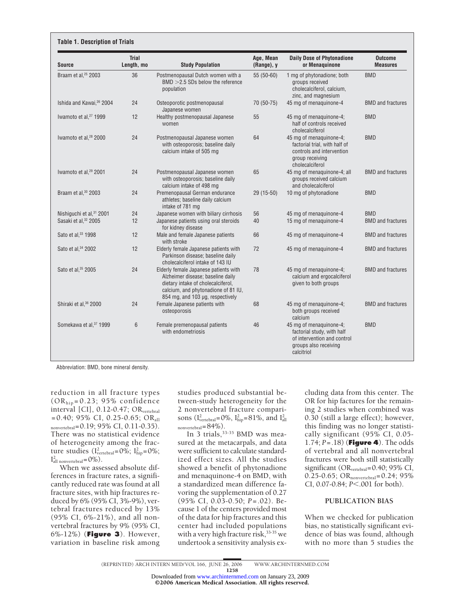| <b>Source</b>                        | <b>Trial</b><br>Length, mo | <b>Study Population</b>                                                                                                                                                                     | Age, Mean<br>(Range), y | <b>Daily Dose of Phytonadione</b><br>or Menaquinone                                                                         | <b>Outcome</b><br><b>Measures</b> |
|--------------------------------------|----------------------------|---------------------------------------------------------------------------------------------------------------------------------------------------------------------------------------------|-------------------------|-----------------------------------------------------------------------------------------------------------------------------|-----------------------------------|
| Braam et al, <sup>25</sup> 2003      | 36                         | Postmenopausal Dutch women with a<br>$BMD > 2.5$ SDs below the reference<br>population                                                                                                      | 55 (50-60)              | 1 mg of phytonadione; both<br>groups received<br>cholecalciferol, calcium,<br>zinc, and magnesium                           | <b>BMD</b>                        |
| Ishida and Kawai, <sup>26</sup> 2004 | 24                         | Osteoporotic postmenopausal<br>Japanese women                                                                                                                                               | 70 (50-75)              | 45 mg of menaguinone-4                                                                                                      | <b>BMD</b> and fractures          |
| Iwamoto et al, <sup>27</sup> 1999    | 12                         | Healthy postmenopausal Japanese<br>women                                                                                                                                                    | 55                      | 45 mg of menaguinone-4;<br>half of controls received<br>cholecalciferol                                                     | <b>BMD</b>                        |
| Iwamoto et al, <sup>28</sup> 2000    | 24                         | Postmenopausal Japanese women<br>with osteoporosis; baseline daily<br>calcium intake of 505 mg                                                                                              | 64                      | 45 mg of menaquinone-4;<br>factorial trial, with half of<br>controls and intervention<br>group receiving<br>cholecalciferol | <b>BMD</b>                        |
| Iwamoto et al, <sup>29</sup> 2001    | 24                         | Postmenopausal Japanese women<br>with osteoporosis; baseline daily<br>calcium intake of 498 mg                                                                                              | 65                      | 45 mg of menaquinone-4; all<br>groups received calcium<br>and cholecalciferol                                               | <b>BMD</b> and fractures          |
| Braam et al, <sup>30</sup> 2003      | 24                         | Premenopausal German endurance<br>athletes; baseline daily calcium<br>intake of 781 mg                                                                                                      | 29 (15-50)              | 10 mg of phytonadione                                                                                                       | <b>BMD</b>                        |
| Nishiguchi et al, 31 2001            | 24                         | Japanese women with biliary cirrhosis                                                                                                                                                       | 56                      | 45 mg of menaquinone-4                                                                                                      | <b>BMD</b>                        |
| Sasaki et al, <sup>32</sup> 2005     | 12                         | Japanese patients using oral steroids<br>for kidney disease                                                                                                                                 | 40                      | 15 mg of menaguinone-4                                                                                                      | <b>BMD</b> and fractures          |
| Sato et al, 33 1998                  | 12                         | Male and female Japanese patients<br>with stroke                                                                                                                                            | 66                      | 45 mg of menaquinone-4                                                                                                      | <b>BMD</b> and fractures          |
| Sato et al, 34 2002                  | 12                         | Elderly female Japanese patients with<br>Parkinson disease; baseline daily<br>cholecalciferol intake of 143 IU                                                                              | 72                      | 45 mg of menaquinone-4                                                                                                      | <b>BMD</b> and fractures          |
| Sato et al, 35 2005                  | 24                         | Elderly female Japanese patients with<br>Alzheimer disease; baseline daily<br>dietary intake of cholecalciferol,<br>calcium, and phytonadione of 81 IU,<br>854 mg, and 103 µg, respectively | 78                      | 45 mg of menaquinone-4;<br>calcium and ergocalciferol<br>given to both groups                                               | <b>BMD</b> and fractures          |
| Shiraki et al, 36 2000               | 24                         | Female Japanese patients with<br>osteoporosis                                                                                                                                               | 68                      | 45 mg of menaquinone-4;<br>both groups received<br>calcium                                                                  | <b>BMD</b> and fractures          |
| Somekawa et al, 37 1999              | $6\phantom{.}$             | Female premenopausal patients<br>with endometriosis                                                                                                                                         | 46                      | 45 mg of menaquinone-4;<br>factorial study, with half<br>of intervention and control<br>groups also receiving<br>calcitriol | <b>BMD</b>                        |

Abbreviation: BMD, bone mineral density.

reduction in all fracture types  $(OR<sub>hip</sub>=0.23; 95% confidence$ interval [CI], 0.12-0.47; ORvertebral  $=0.40$ ; 95% CI, 0.25-0.65; OR<sub>all</sub>  $_{\text{nonvertical}} = 0.19; 95\% \text{ CI}, 0.11-0.35$ . There was no statistical evidence of heterogeneity among the fracture studies  $(I_{\text{vertical}}^2 = 0\%; I_{\text{hip}}^2 = 0\%;$  $I<sub>all nonvertebral</sub><sup>2</sup>=0\%$ .

When we assessed absolute differences in fracture rates, a significantly reduced rate was found at all fracture sites, with hip fractures reduced by 6% (95% CI, 3%-9%), vertebral fractures reduced by 13% (95% CI, 6%-21%), and all nonvertebral fractures by 9% (95% CI, 6%-12%) (**Figure 3**). However, variation in baseline risk among studies produced substantial between-study heterogeneity for the 2 nonvertebral fracture comparisons ( $I_{\text{vertical}}^2 = 0\%$ ,  $I_{\text{hip}}^2 = 81\%$ , and  $I_{\text{all}}^2$  $_{\text{nonvertical}}=84\%$ ).

In 3 trials, 33-35 BMD was measured at the metacarpals, and data were sufficient to calculate standardized effect sizes. All the studies showed a benefit of phytonadione and menaquinone-4 on BMD, with a standardized mean difference favoring the supplementation of 0.27 (95% CI, 0.03-0.50; *P*=.02). Because 1 of the centers provided most of the data for hip fractures and this center had included populations with a very high fracture risk,  $33-35$  we undertook a sensitivity analysis excluding data from this center. The OR for hip factures for the remaining 2 studies when combined was 0.30 (still a large effect); however, this finding was no longer statistically significant (95% CI, 0.05- 1.74; *P*=.18) (**Figure 4**). The odds of vertebral and all nonvertebral fractures were both still statistically significant (OR<sub>vertebral</sub>=0.40; 95% CI, 0.25-0.65; OR<sub>nonvertebral</sub>=0.24; 95% CI, 0.07-0.84; *P*<.001 for both).

# **PUBLICATION BIAS**

When we checked for publication bias, no statistically significant evidence of bias was found, although with no more than 5 studies the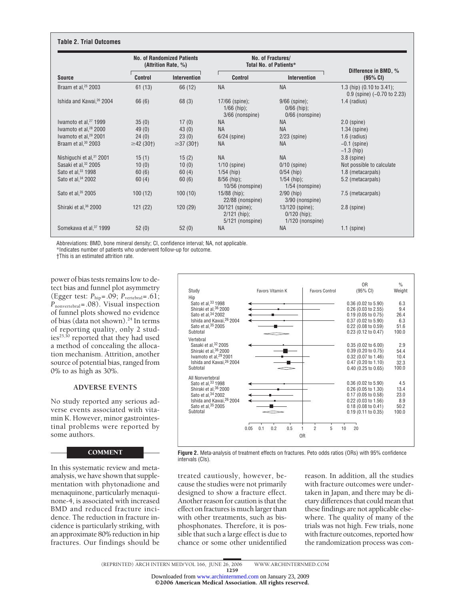| <b>Source</b>                        | <b>No. of Randomized Patients</b><br>(Attrition Rate, %) |                 | No. of Fractures/<br><b>Total No. of Patients*</b>    |                                                           |                                                                        |
|--------------------------------------|----------------------------------------------------------|-----------------|-------------------------------------------------------|-----------------------------------------------------------|------------------------------------------------------------------------|
|                                      | <b>Control</b>                                           | Intervention    | <b>Control</b>                                        | Intervention                                              | Difference in BMD, %<br>$(95\% \text{ CI})$                            |
| Braam et al, $25$ 2003               | 61(13)                                                   | 66 (12)         | <b>NA</b>                                             | <b>NA</b>                                                 | 1.3 (hip) $(0.10 \text{ to } 3.41)$ ;<br>$0.9$ (spine) (-0.70 to 2.23) |
| Ishida and Kawai, <sup>26</sup> 2004 | 66 (6)                                                   | 68 (3)          | $17/66$ (spine);<br>$1/66$ (hip);<br>3/66 (nonspine)  | $9/66$ (spine);<br>$0/66$ (hip);<br>0/66 (nonspine)       | $1.4$ (radius)                                                         |
| Iwamoto et al, <sup>27</sup> 1999    | 35(0)                                                    | 17(0)           | <b>NA</b>                                             | <b>NA</b>                                                 | $2.0$ (spine)                                                          |
| Iwamoto et al, <sup>28</sup> 2000    | 49(0)                                                    | 43(0)           | <b>NA</b>                                             | <b>NA</b>                                                 | $1.34$ (spine)                                                         |
| Iwamoto et al, <sup>29</sup> 2001    | 24(0)                                                    | 23(0)           | $6/24$ (spine)                                        | $2/23$ (spine)                                            | $1.6$ (radius)                                                         |
| Braam et al, <sup>30</sup> 2003      | $\geq$ 42 (30†)                                          | $\geq$ 37 (30†) | <b>NA</b>                                             | <b>NA</b>                                                 | $-0.1$ (spine)<br>$-1.3$ (hip)                                         |
| Nishiguchi et al, <sup>31</sup> 2001 | 15(1)                                                    | 15(2)           | <b>NA</b>                                             | <b>NA</b>                                                 | $3.8$ (spine)                                                          |
| Sasaki et al, <sup>32</sup> 2005     | 10(0)                                                    | 10(0)           | $1/10$ (spine)                                        | $0/10$ (spine)                                            | Not possible to calculate                                              |
| Sato et al, 33 1998                  | 60(6)                                                    | 60(4)           | $1/54$ (hip)                                          | $0/54$ (hip)                                              | 1.8 (metacarpals)                                                      |
| Sato et al, 34 2002                  | 60(4)                                                    | 60(6)           | $8/56$ (hip);<br>10/56 (nonspine)                     | $1/54$ (hip);<br>$1/54$ (nonspine)                        | 5.2 (metacarpals)                                                      |
| Sato et al, 35 2005                  | 100(12)                                                  | 100(10)         | $15/88$ (hip);<br>22/88 (nonspine)                    | $2/90$ (hip)<br>3/90 (nonspine)                           | 7.5 (metacarpals)                                                      |
| Shiraki et al, <sup>36</sup> 2000    | 121(22)                                                  | 120(29)         | 30/121 (spine);<br>$2/121$ (hip);<br>5/121 (nonspine) | $13/120$ (spine);<br>$0/120$ (hip);<br>$1/120$ (nonspine) | $2.8$ (spine)                                                          |
| Somekawa et al, 37 1999              | 52(0)                                                    | 52(0)           | <b>NA</b>                                             | <b>NA</b>                                                 | $1.1$ (spine)                                                          |

Abbreviations: BMD, bone mineral density; CI, confidence interval; NA, not applicable.

\*Indicates number of patients who underwent follow-up for outcome.

†This is an estimated attrition rate.

power of bias tests remains low to detect bias and funnel plot asymmetry (Egger test:  $P_{\text{hip}} = .09$ ;  $P_{\text{vertebral}} = .61$ ;  $P_{\text{nonvertical}} = .08$ ). Visual inspection of funnel plots showed no evidence of bias (data not shown).<sup>24</sup> In terms of reporting quality, only 2 studies<sup>25,30</sup> reported that they had used a method of concealing the allocation mechanism. Attrition, another source of potential bias, ranged from 0% to as high as 30%.

# **ADVERSE EVENTS**

No study reported any serious adverse events associated with vitamin K. However, minor gastrointestinal problems were reported by some authors.

### **COMMENT**

In this systematic review and metaanalysis, we have shown that supplementation with phytonadione and menaquinone, particularly menaquinone-4, is associated with increased BMD and reduced fracture incidence. The reduction in fracture incidence is particularly striking, with an approximate 80% reduction in hip fractures. Our findings should be



**Figure 2.** Meta-analysis of treatment effects on fractures. Peto odds ratios (ORs) with 95% confidence intervals (CIs).

treated cautiously, however, because the studies were not primarily designed to show a fracture effect. Another reason for caution is that the effect on fractures is much larger than with other treatments, such as bisphosphonates. Therefore, it is possible that such a large effect is due to chance or some other unidentified

reason. In addition, all the studies with fracture outcomes were undertaken in Japan, and there may be dietary differences that could mean that these findings are not applicable elsewhere. The quality of many of the trials was not high. Few trials, none with fracture outcomes, reported how the randomization process was con-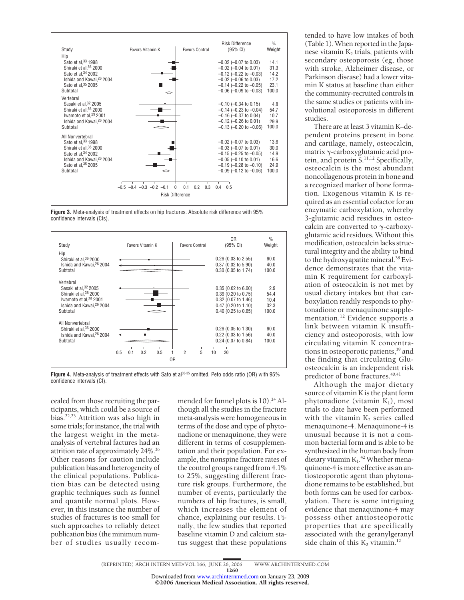

**Figure 3.** Meta-analysis of treatment effects on hip fractures. Absolute risk difference with 95% confidence intervals (CIs).



Figure 4. Meta-analysis of treatment effects with Sato et al<sup>33-35</sup> omitted. Peto odds ratio (OR) with 95% confidence intervals (CI).

cealed from those recruiting the participants, which could be a source of bias.22,23 Attrition was also high in some trials; for instance, the trial with the largest weight in the metaanalysis of vertebral factures had an attrition rate of approximately 24%.36 Other reasons for caution include publication bias and heterogeneity of the clinical populations. Publication bias can be detected using graphic techniques such as funnel and quantile normal plots. However, in this instance the number of studies of fractures is too small for such approaches to reliably detect publication bias (the minimum number of studies usually recommended for funnel plots is  $10$ ).<sup>24</sup> Although all the studies in the fracture meta-analysis were homogeneous in terms of the dose and type of phytonadione or menaquinone, they were different in terms of cosupplementation and their population. For example, the nonspine fracture rates of the control groups ranged from 4.1% to 25%, suggesting different fracture risk groups. Furthermore, the number of events, particularly the numbers of hip fractures, is small, which increases the element of chance, explaining our results. Finally, the few studies that reported baseline vitamin D and calcium status suggest that these populations

tended to have low intakes of both (Table 1).When reported in the Japanese vitamin  $K_2$  trials, patients with secondary osteoporosis (eg, those with stroke, Alzheimer disease, or Parkinson disease) had a lower vitamin K status at baseline than either the community-recruited controls in the same studies or patients with involutional osteoporosis in different studies.

There are at least 3 vitamin K–dependent proteins present in bone and cartilage, namely, osteocalcin,  $matrix \gamma$ -carboxyglutamic acid protein, and protein S.11,12 Specifically, osteocalcin is the most abundant noncollagenous protein in bone and a recognized marker of bone formation. Exogenous vitamin K is required as an essential cofactor for an enzymatic carboxylation, whereby 3-glutamic acid residues in osteocalcin are converted to  $\gamma$ -carboxyglutamic acid residues. Without this modification, osteocalcin lacks structural integrity and the ability to bind to the hydroxyapatite mineral.<sup>38</sup> Evidence demonstrates that the vitamin K requirement for carboxylation of osteocalcin is not met by usual dietary intakes but that carboxylation readily responds to phytonadione or menaquinone supplementation.<sup>12</sup> Evidence supports a link between vitamin K insufficiency and osteoporosis, with low circulating vitamin K concentrations in osteoporotic patients,<sup>39</sup> and the finding that circulating Gluosteocalcin is an independent risk predictor of bone fractures.<sup>40,41</sup>

Although the major dietary source of vitamin K is the plant form phytonadione (vitamin  $K_1$ ), most trials to date have been performed with the vitamin  $K_2$  series called menaquinone-4. Menaquinone-4 is unusual because it is not a common bacterial form and is able to be synthesized in the human body from dietary vitamin  $K_1$ .<sup>42</sup> Whether menaquinone-4 is more effective as an antiosteoporotic agent than phytonadione remains to be established, but both forms can be used for carboxylation. There is some intriguing evidence that menaquinone-4 may possess other antiosteoporotic properties that are specifically associated with the geranylgeranyl side chain of this  $K_2$  vitamin.<sup>12</sup>